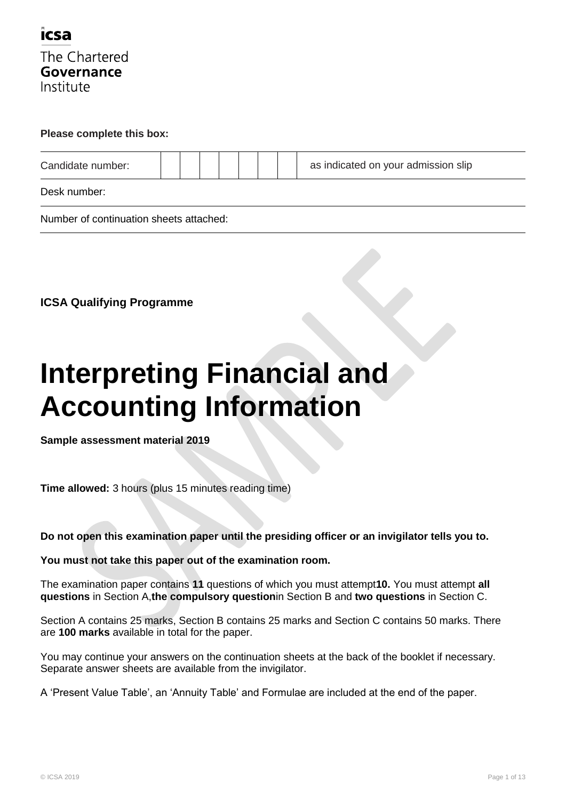

#### **Please complete this box:**

| Candidate number: |  |  |  | as indicated on your admission slip |
|-------------------|--|--|--|-------------------------------------|
| Desk number:      |  |  |  |                                     |

Number of continuation sheets attached:

**ICSA Qualifying Programme**

# **Interpreting Financial and Accounting Information**

**Sample assessment material 2019**

**Time allowed:** 3 hours (plus 15 minutes reading time)

**Do not open this examination paper until the presiding officer or an invigilator tells you to.**

### **You must not take this paper out of the examination room.**

The examination paper contains **11** questions of which you must attempt**10.** You must attempt **all questions** in Section A,**the compulsory question**in Section B and **two questions** in Section C.

Section A contains 25 marks, Section B contains 25 marks and Section C contains 50 marks. There are **100 marks** available in total for the paper.

You may continue your answers on the continuation sheets at the back of the booklet if necessary. Separate answer sheets are available from the invigilator.

A "Present Value Table", an "Annuity Table" and Formulae are included at the end of the paper.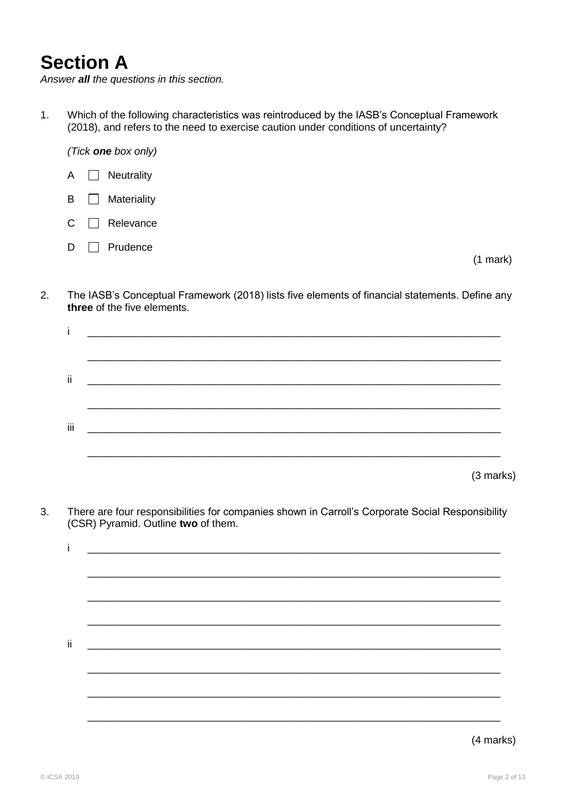# **Section A**

*Answer all the questions in this section.*

1. Which of the following characteristics was reintroduced by the IASB"s Conceptual Framework (2018), and refers to the need to exercise caution under conditions of uncertainty?



2. The IASB"s Conceptual Framework (2018) lists five elements of financial statements. Define any **three** of the five elements.

| ij. |           |
|-----|-----------|
|     |           |
|     |           |
| Ϊİ  |           |
|     |           |
|     | (3 marks) |

3. There are four responsibilities for companies shown in Carroll"s Corporate Social Responsibility (CSR) Pyramid. Outline **two** of them.

| ii. |  |
|-----|--|
|     |  |
|     |  |
|     |  |
|     |  |
|     |  |
|     |  |

### (4 marks)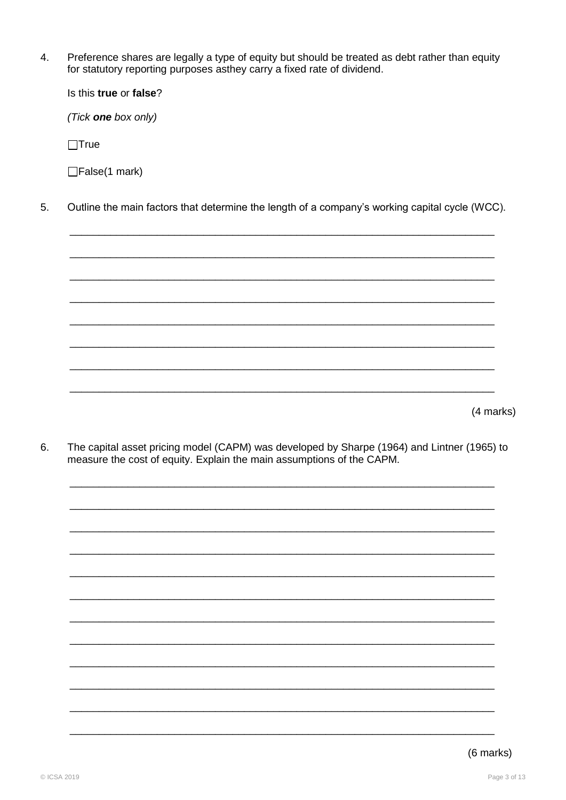$\overline{4}$ . Preference shares are legally a type of equity but should be treated as debt rather than equity for statutory reporting purposes asthey carry a fixed rate of dividend.

Is this true or false?

(Tick one box only)

 $\Box$ True

□False(1 mark)

5. Outline the main factors that determine the length of a company's working capital cycle (WCC).

(4 marks)

6. The capital asset pricing model (CAPM) was developed by Sharpe (1964) and Lintner (1965) to measure the cost of equity. Explain the main assumptions of the CAPM.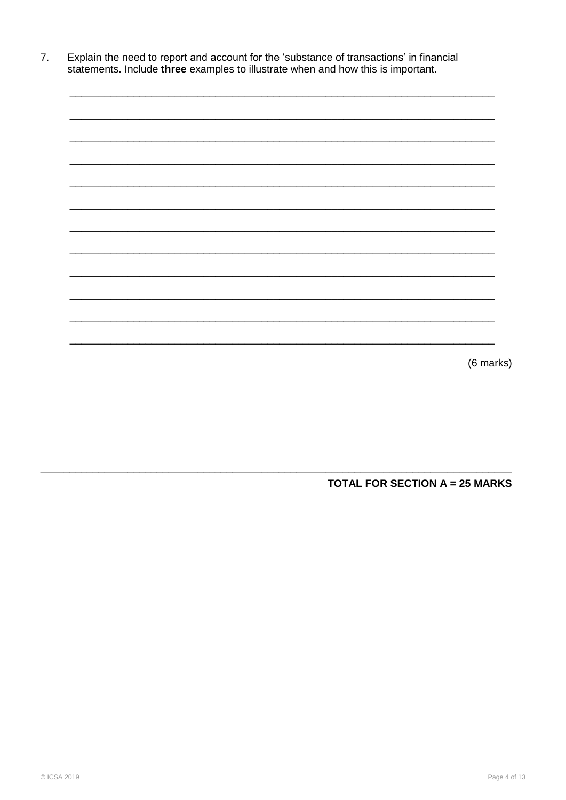Explain the need to report and account for the 'substance of transactions' in financial statements. Include three examples to illustrate when and how this is important.  $7.$ 

| (6 marks) |
|-----------|

**TOTAL FOR SECTION A = 25 MARKS**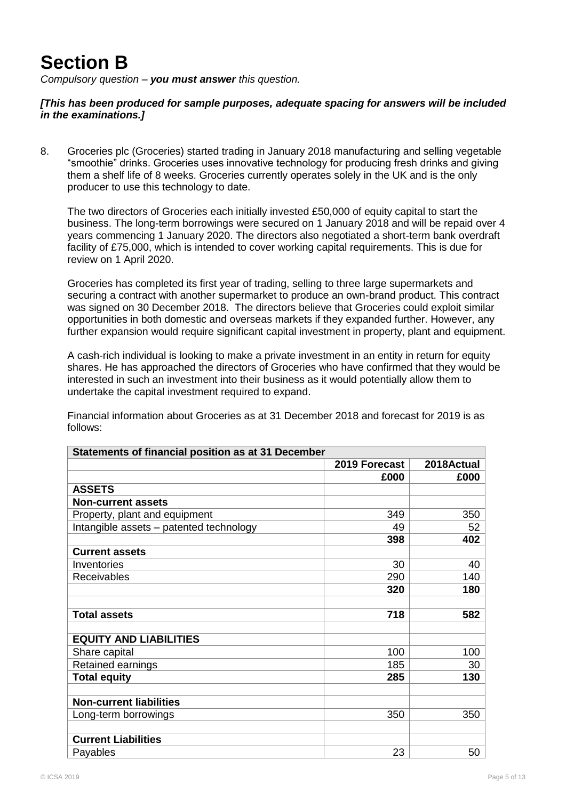# **Section B**

*Compulsory question – you must answer this question.*

*[This has been produced for sample purposes, adequate spacing for answers will be included in the examinations.]*

8. Groceries plc (Groceries) started trading in January 2018 manufacturing and selling vegetable "smoothie" drinks. Groceries uses innovative technology for producing fresh drinks and giving them a shelf life of 8 weeks. Groceries currently operates solely in the UK and is the only producer to use this technology to date.

The two directors of Groceries each initially invested £50,000 of equity capital to start the business. The long-term borrowings were secured on 1 January 2018 and will be repaid over 4 years commencing 1 January 2020. The directors also negotiated a short-term bank overdraft facility of £75,000, which is intended to cover working capital requirements. This is due for review on 1 April 2020.

Groceries has completed its first year of trading, selling to three large supermarkets and securing a contract with another supermarket to produce an own-brand product. This contract was signed on 30 December 2018. The directors believe that Groceries could exploit similar opportunities in both domestic and overseas markets if they expanded further. However, any further expansion would require significant capital investment in property, plant and equipment.

A cash-rich individual is looking to make a private investment in an entity in return for equity shares. He has approached the directors of Groceries who have confirmed that they would be interested in such an investment into their business as it would potentially allow them to undertake the capital investment required to expand.

Financial information about Groceries as at 31 December 2018 and forecast for 2019 is as follows:

| Statements of financial position as at 31 December |               |            |  |  |  |  |
|----------------------------------------------------|---------------|------------|--|--|--|--|
|                                                    | 2019 Forecast | 2018Actual |  |  |  |  |
|                                                    | £000          | £000       |  |  |  |  |
| <b>ASSETS</b>                                      |               |            |  |  |  |  |
| <b>Non-current assets</b>                          |               |            |  |  |  |  |
| Property, plant and equipment                      | 349           | 350        |  |  |  |  |
| Intangible assets - patented technology            | 49            | 52         |  |  |  |  |
|                                                    | 398           | 402        |  |  |  |  |
| <b>Current assets</b>                              |               |            |  |  |  |  |
| Inventories                                        | 30            | 40         |  |  |  |  |
| <b>Receivables</b>                                 | 290           | 140        |  |  |  |  |
|                                                    | 320           | 180        |  |  |  |  |
|                                                    |               |            |  |  |  |  |
| <b>Total assets</b>                                | 718           | 582        |  |  |  |  |
|                                                    |               |            |  |  |  |  |
| <b>EQUITY AND LIABILITIES</b>                      |               |            |  |  |  |  |
| Share capital                                      | 100           | 100        |  |  |  |  |
| Retained earnings                                  | 185           | 30         |  |  |  |  |
| <b>Total equity</b>                                | 285           | 130        |  |  |  |  |
|                                                    |               |            |  |  |  |  |
| <b>Non-current liabilities</b>                     |               |            |  |  |  |  |
| Long-term borrowings                               | 350           | 350        |  |  |  |  |
|                                                    |               |            |  |  |  |  |
| <b>Current Liabilities</b>                         |               |            |  |  |  |  |
| Payables                                           | 23            | 50         |  |  |  |  |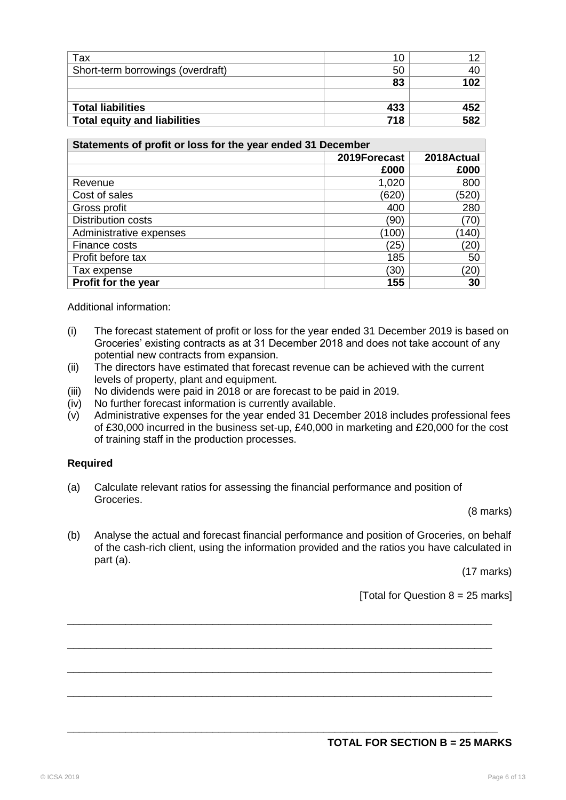| Tax                                 | 10  |     |
|-------------------------------------|-----|-----|
| Short-term borrowings (overdraft)   | 50  |     |
|                                     | 83  |     |
|                                     |     |     |
| <b>Total liabilities</b>            | 433 | 452 |
| <b>Total equity and liabilities</b> | 718 | 582 |

| Statements of profit or loss for the year ended 31 December |              |            |  |  |  |  |
|-------------------------------------------------------------|--------------|------------|--|--|--|--|
|                                                             | 2019Forecast | 2018Actual |  |  |  |  |
|                                                             | £000         | £000       |  |  |  |  |
| Revenue                                                     | 1,020        | 800        |  |  |  |  |
| Cost of sales                                               | (620)        | (520)      |  |  |  |  |
| Gross profit                                                | 400          | 280        |  |  |  |  |
| <b>Distribution costs</b>                                   | (90)         | (70)       |  |  |  |  |
| Administrative expenses                                     | (100)        | (140)      |  |  |  |  |
| Finance costs                                               | (25)         | (20)       |  |  |  |  |
| Profit before tax                                           | 185          | 50         |  |  |  |  |
| Tax expense                                                 | (30)         | (20)       |  |  |  |  |
| Profit for the year                                         | 155          | 30         |  |  |  |  |

Additional information:

- (i) The forecast statement of profit or loss for the year ended 31 December 2019 is based on Groceries" existing contracts as at 31 December 2018 and does not take account of any potential new contracts from expansion.
- (ii) The directors have estimated that forecast revenue can be achieved with the current levels of property, plant and equipment.
- (iii) No dividends were paid in 2018 or are forecast to be paid in 2019.
- (iv) No further forecast information is currently available.
- (v) Administrative expenses for the year ended 31 December 2018 includes professional fees of £30,000 incurred in the business set-up, £40,000 in marketing and £20,000 for the cost of training staff in the production processes.

### **Required**

(a) Calculate relevant ratios for assessing the financial performance and position of Groceries.

(8 marks)

(b) Analyse the actual and forecast financial performance and position of Groceries, on behalf of the cash-rich client, using the information provided and the ratios you have calculated in part (a).

\_\_\_\_\_\_\_\_\_\_\_\_\_\_\_\_\_\_\_\_\_\_\_\_\_\_\_\_\_\_\_\_\_\_\_\_\_\_\_\_\_\_\_\_\_\_\_\_\_\_\_\_\_\_\_\_\_\_\_\_\_\_\_\_\_\_\_\_\_\_\_\_\_

\_\_\_\_\_\_\_\_\_\_\_\_\_\_\_\_\_\_\_\_\_\_\_\_\_\_\_\_\_\_\_\_\_\_\_\_\_\_\_\_\_\_\_\_\_\_\_\_\_\_\_\_\_\_\_\_\_\_\_\_\_\_\_\_\_\_\_\_\_\_\_\_\_

\_\_\_\_\_\_\_\_\_\_\_\_\_\_\_\_\_\_\_\_\_\_\_\_\_\_\_\_\_\_\_\_\_\_\_\_\_\_\_\_\_\_\_\_\_\_\_\_\_\_\_\_\_\_\_\_\_\_\_\_\_\_\_\_\_\_\_\_\_\_\_\_\_

\_\_\_\_\_\_\_\_\_\_\_\_\_\_\_\_\_\_\_\_\_\_\_\_\_\_\_\_\_\_\_\_\_\_\_\_\_\_\_\_\_\_\_\_\_\_\_\_\_\_\_\_\_\_\_\_\_\_\_\_\_\_\_\_\_\_\_\_\_\_\_\_\_

**\_\_\_\_\_\_\_\_\_\_\_\_\_\_\_\_\_\_\_\_\_\_\_\_\_\_\_\_\_\_\_\_\_\_\_\_\_\_\_\_\_\_\_\_\_\_\_\_\_\_\_\_\_\_\_\_\_\_\_\_\_\_\_\_\_\_\_\_\_\_\_\_\_\_**

(17 marks)

[Total for Question  $8 = 25$  marks]

### **TOTAL FOR SECTION B = 25 MARKS**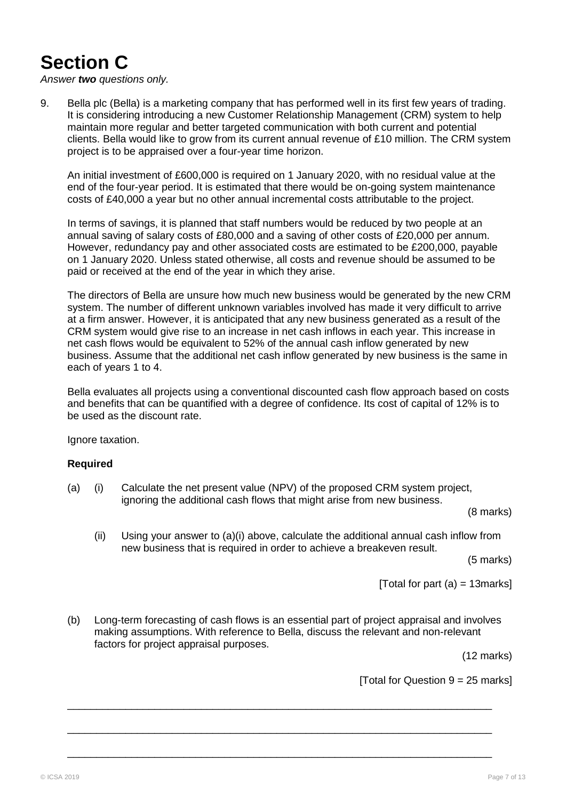# **Section C**

*Answer two questions only.*

9. Bella plc (Bella) is a marketing company that has performed well in its first few years of trading. It is considering introducing a new Customer Relationship Management (CRM) system to help maintain more regular and better targeted communication with both current and potential clients. Bella would like to grow from its current annual revenue of £10 million. The CRM system project is to be appraised over a four-year time horizon.

An initial investment of £600,000 is required on 1 January 2020, with no residual value at the end of the four-year period. It is estimated that there would be on-going system maintenance costs of £40,000 a year but no other annual incremental costs attributable to the project.

In terms of savings, it is planned that staff numbers would be reduced by two people at an annual saving of salary costs of £80,000 and a saving of other costs of £20,000 per annum. However, redundancy pay and other associated costs are estimated to be £200,000, payable on 1 January 2020. Unless stated otherwise, all costs and revenue should be assumed to be paid or received at the end of the year in which they arise.

The directors of Bella are unsure how much new business would be generated by the new CRM system. The number of different unknown variables involved has made it very difficult to arrive at a firm answer. However, it is anticipated that any new business generated as a result of the CRM system would give rise to an increase in net cash inflows in each year. This increase in net cash flows would be equivalent to 52% of the annual cash inflow generated by new business. Assume that the additional net cash inflow generated by new business is the same in each of years 1 to 4.

Bella evaluates all projects using a conventional discounted cash flow approach based on costs and benefits that can be quantified with a degree of confidence. Its cost of capital of 12% is to be used as the discount rate.

Ignore taxation.

### **Required**

(a) (i) Calculate the net present value (NPV) of the proposed CRM system project, ignoring the additional cash flows that might arise from new business.

(8 marks)

(ii) Using your answer to  $(a)(i)$  above, calculate the additional annual cash inflow from new business that is required in order to achieve a breakeven result.

(5 marks)

[Total for part (a)  $=$  13 marks]

(b) Long-term forecasting of cash flows is an essential part of project appraisal and involves making assumptions. With reference to Bella, discuss the relevant and non-relevant factors for project appraisal purposes.

\_\_\_\_\_\_\_\_\_\_\_\_\_\_\_\_\_\_\_\_\_\_\_\_\_\_\_\_\_\_\_\_\_\_\_\_\_\_\_\_\_\_\_\_\_\_\_\_\_\_\_\_\_\_\_\_\_\_\_\_\_\_\_\_\_\_\_\_\_\_\_\_\_

\_\_\_\_\_\_\_\_\_\_\_\_\_\_\_\_\_\_\_\_\_\_\_\_\_\_\_\_\_\_\_\_\_\_\_\_\_\_\_\_\_\_\_\_\_\_\_\_\_\_\_\_\_\_\_\_\_\_\_\_\_\_\_\_\_\_\_\_\_\_\_\_\_

\_\_\_\_\_\_\_\_\_\_\_\_\_\_\_\_\_\_\_\_\_\_\_\_\_\_\_\_\_\_\_\_\_\_\_\_\_\_\_\_\_\_\_\_\_\_\_\_\_\_\_\_\_\_\_\_\_\_\_\_\_\_\_\_\_\_\_\_\_\_\_\_\_

(12 marks)

[Total for Question  $9 = 25$  marks]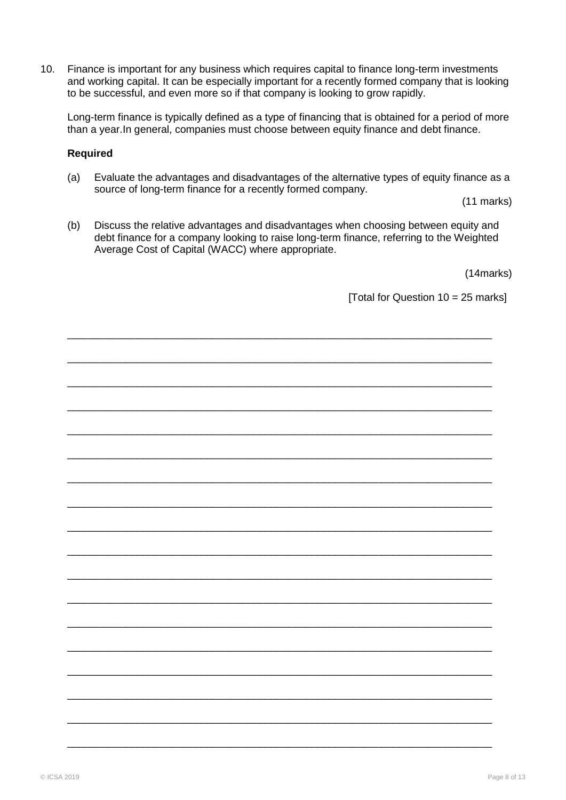10. Finance is important for any business which requires capital to finance long-term investments and working capital. It can be especially important for a recently formed company that is looking to be successful, and even more so if that company is looking to grow rapidly.

Long-term finance is typically defined as a type of financing that is obtained for a period of more than a year.In general, companies must choose between equity finance and debt finance.

### **Required**

(a) Evaluate the advantages and disadvantages of the alternative types of equity finance as a source of long-term finance for a recently formed company.

(11 marks)

(b) Discuss the relative advantages and disadvantages when choosing between equity and debt finance for a company looking to raise long-term finance, referring to the Weighted Average Cost of Capital (WACC) where appropriate.

(14marks)

[Total for Question 10 = 25 marks]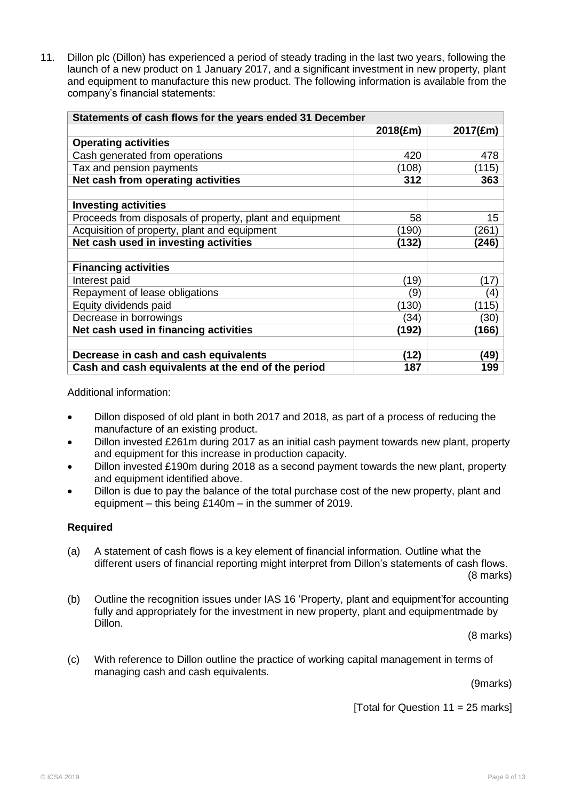11. Dillon plc (Dillon) has experienced a period of steady trading in the last two years, following the launch of a new product on 1 January 2017, and a significant investment in new property, plant and equipment to manufacture this new product. The following information is available from the company"s financial statements:

| Statements of cash flows for the years ended 31 December |          |                   |  |  |  |  |
|----------------------------------------------------------|----------|-------------------|--|--|--|--|
|                                                          | 2018(£m) | 2017(£m)          |  |  |  |  |
| <b>Operating activities</b>                              |          |                   |  |  |  |  |
| Cash generated from operations                           | 420      | 478               |  |  |  |  |
| Tax and pension payments                                 | (108)    | (115)             |  |  |  |  |
| Net cash from operating activities                       | 312      | 363               |  |  |  |  |
|                                                          |          |                   |  |  |  |  |
| <b>Investing activities</b>                              |          |                   |  |  |  |  |
| Proceeds from disposals of property, plant and equipment | 58       | 15                |  |  |  |  |
| Acquisition of property, plant and equipment             | (190)    | (261)             |  |  |  |  |
| Net cash used in investing activities                    | (132)    | (246)             |  |  |  |  |
|                                                          |          |                   |  |  |  |  |
| <b>Financing activities</b>                              |          |                   |  |  |  |  |
| Interest paid                                            | (19)     | (17)              |  |  |  |  |
| Repayment of lease obligations                           | (9       | $\left( 4\right)$ |  |  |  |  |
| Equity dividends paid                                    | (130)    | (115)             |  |  |  |  |
| Decrease in borrowings                                   | (34)     | (30)              |  |  |  |  |
| Net cash used in financing activities                    | (192)    | (166)             |  |  |  |  |
|                                                          |          |                   |  |  |  |  |
| Decrease in cash and cash equivalents                    | (12)     | (49)              |  |  |  |  |
| Cash and cash equivalents at the end of the period       | 187      | 199               |  |  |  |  |

Additional information:

- Dillon disposed of old plant in both 2017 and 2018, as part of a process of reducing the manufacture of an existing product.
- Dillon invested £261m during 2017 as an initial cash payment towards new plant, property and equipment for this increase in production capacity.
- Dillon invested £190m during 2018 as a second payment towards the new plant, property and equipment identified above.
- Dillon is due to pay the balance of the total purchase cost of the new property, plant and equipment – this being £140m – in the summer of 2019.

### **Required**

- (a) A statement of cash flows is a key element of financial information. Outline what the different users of financial reporting might interpret from Dillon"s statements of cash flows. (8 marks)
- (b) Outline the recognition issues under IAS 16 "Property, plant and equipment"for accounting fully and appropriately for the investment in new property, plant and equipmentmade by Dillon.

(8 marks)

(c) With reference to Dillon outline the practice of working capital management in terms of managing cash and cash equivalents.

(9marks)

[Total for Question  $11 = 25$  marks]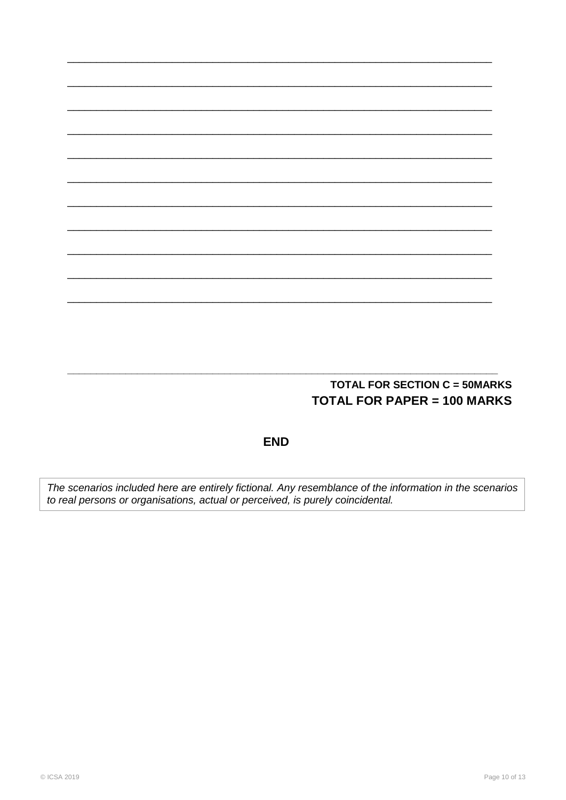# **TOTAL FOR SECTION C = 50MARKS TOTAL FOR PAPER = 100 MARKS**

**END** 

The scenarios included here are entirely fictional. Any resemblance of the information in the scenarios<br>to real persons or organisations, actual or perceived, is purely coincidental.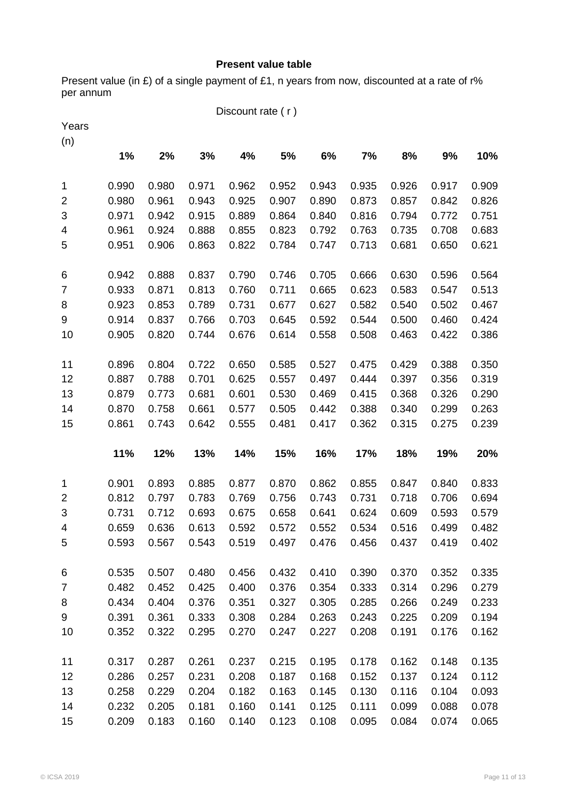## **Present value table**

Present value (in £) of a single payment of £1, n years from now, discounted at a rate of r% per annum

|                         |       |       |       | Discount rate (r) |       |       |       |       |       |       |
|-------------------------|-------|-------|-------|-------------------|-------|-------|-------|-------|-------|-------|
| Years                   |       |       |       |                   |       |       |       |       |       |       |
| (n)                     |       |       |       |                   |       |       |       |       |       |       |
|                         | 1%    | 2%    | 3%    | 4%                | 5%    | 6%    | 7%    | 8%    | 9%    | 10%   |
| $\mathbf{1}$            | 0.990 | 0.980 | 0.971 | 0.962             | 0.952 | 0.943 | 0.935 | 0.926 | 0.917 | 0.909 |
| $\overline{\mathbf{c}}$ | 0.980 | 0.961 | 0.943 | 0.925             | 0.907 | 0.890 | 0.873 | 0.857 | 0.842 | 0.826 |
| $\sqrt{3}$              | 0.971 | 0.942 | 0.915 | 0.889             | 0.864 | 0.840 | 0.816 | 0.794 | 0.772 | 0.751 |
| 4                       | 0.961 | 0.924 | 0.888 | 0.855             | 0.823 | 0.792 | 0.763 | 0.735 | 0.708 | 0.683 |
| 5                       | 0.951 | 0.906 | 0.863 | 0.822             | 0.784 | 0.747 | 0.713 | 0.681 | 0.650 | 0.621 |
| 6                       | 0.942 | 0.888 | 0.837 | 0.790             | 0.746 | 0.705 | 0.666 | 0.630 | 0.596 | 0.564 |
| $\overline{7}$          | 0.933 | 0.871 | 0.813 | 0.760             | 0.711 | 0.665 | 0.623 | 0.583 | 0.547 | 0.513 |
| 8                       | 0.923 | 0.853 | 0.789 | 0.731             | 0.677 | 0.627 | 0.582 | 0.540 | 0.502 | 0.467 |
| 9                       | 0.914 | 0.837 | 0.766 | 0.703             | 0.645 | 0.592 | 0.544 | 0.500 | 0.460 | 0.424 |
| 10                      | 0.905 | 0.820 | 0.744 | 0.676             | 0.614 | 0.558 | 0.508 | 0.463 | 0.422 | 0.386 |
| 11                      | 0.896 | 0.804 | 0.722 | 0.650             | 0.585 | 0.527 | 0.475 | 0.429 | 0.388 | 0.350 |
| 12                      | 0.887 | 0.788 | 0.701 | 0.625             | 0.557 | 0.497 | 0.444 | 0.397 | 0.356 | 0.319 |
| 13                      | 0.879 | 0.773 | 0.681 | 0.601             | 0.530 | 0.469 | 0.415 | 0.368 | 0.326 | 0.290 |
| 14                      | 0.870 | 0.758 | 0.661 | 0.577             | 0.505 | 0.442 | 0.388 | 0.340 | 0.299 | 0.263 |
| 15                      | 0.861 | 0.743 | 0.642 | 0.555             | 0.481 | 0.417 | 0.362 | 0.315 | 0.275 | 0.239 |
|                         | 11%   | 12%   | 13%   | 14%               | 15%   | 16%   | 17%   | 18%   | 19%   | 20%   |
| 1                       | 0.901 | 0.893 | 0.885 | 0.877             | 0.870 | 0.862 | 0.855 | 0.847 | 0.840 | 0.833 |
| $\overline{2}$          | 0.812 | 0.797 | 0.783 | 0.769             | 0.756 | 0.743 | 0.731 | 0.718 | 0.706 | 0.694 |
| $\sqrt{3}$              | 0.731 | 0.712 | 0.693 | 0.675             | 0.658 | 0.641 | 0.624 | 0.609 | 0.593 | 0.579 |
| 4                       | 0.659 | 0.636 | 0.613 | 0.592             | 0.572 | 0.552 | 0.534 | 0.516 | 0.499 | 0.482 |
| 5                       | 0.593 | 0.567 | 0.543 | 0.519             | 0.497 | 0.476 | 0.456 | 0.437 | 0.419 | 0.402 |
| 6                       | 0.535 | 0.507 | 0.480 | 0.456             | 0.432 | 0.410 | 0.390 | 0.370 | 0.352 | 0.335 |
| $\overline{7}$          | 0.482 | 0.452 | 0.425 | 0.400             | 0.376 | 0.354 | 0.333 | 0.314 | 0.296 | 0.279 |
| 8                       | 0.434 | 0.404 | 0.376 | 0.351             | 0.327 | 0.305 | 0.285 | 0.266 | 0.249 | 0.233 |
| 9                       | 0.391 | 0.361 | 0.333 | 0.308             | 0.284 | 0.263 | 0.243 | 0.225 | 0.209 | 0.194 |
| 10                      | 0.352 | 0.322 | 0.295 | 0.270             | 0.247 | 0.227 | 0.208 | 0.191 | 0.176 | 0.162 |
| 11                      | 0.317 | 0.287 | 0.261 | 0.237             | 0.215 | 0.195 | 0.178 | 0.162 | 0.148 | 0.135 |
| 12                      | 0.286 | 0.257 | 0.231 | 0.208             | 0.187 | 0.168 | 0.152 | 0.137 | 0.124 | 0.112 |
| 13                      | 0.258 | 0.229 | 0.204 | 0.182             | 0.163 | 0.145 | 0.130 | 0.116 | 0.104 | 0.093 |
| 14                      | 0.232 | 0.205 | 0.181 | 0.160             | 0.141 | 0.125 | 0.111 | 0.099 | 0.088 | 0.078 |
| 15                      | 0.209 | 0.183 | 0.160 | 0.140             | 0.123 | 0.108 | 0.095 | 0.084 | 0.074 | 0.065 |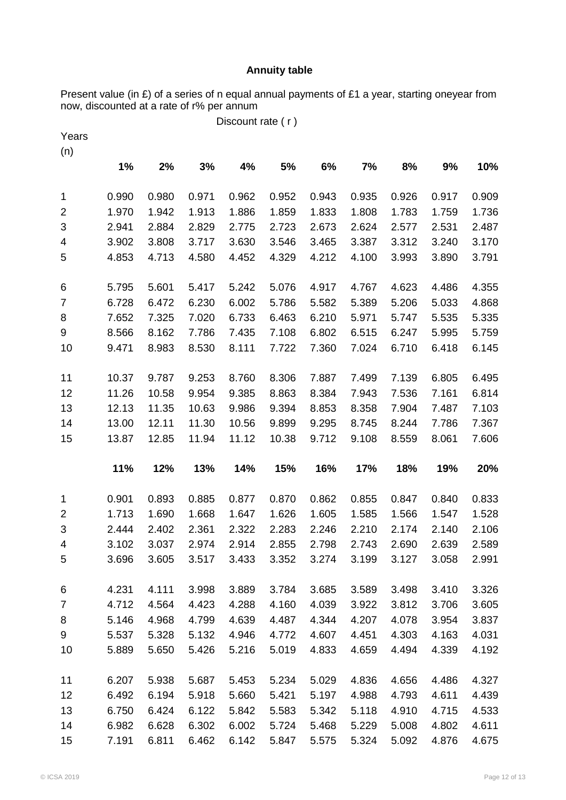### **Annuity table**

Present value (in £) of a series of n equal annual payments of £1 a year, starting oneyear from now, discounted at a rate of r% per annum

Discount rate ( r )

| Years          |       |       |       |       |       |       |       |       |       |       |
|----------------|-------|-------|-------|-------|-------|-------|-------|-------|-------|-------|
| (n)            |       |       |       |       |       |       |       |       |       |       |
|                | 1%    | 2%    | 3%    | 4%    | 5%    | 6%    | 7%    | 8%    | 9%    | 10%   |
| 1              | 0.990 | 0.980 | 0.971 | 0.962 | 0.952 | 0.943 | 0.935 | 0.926 | 0.917 | 0.909 |
| $\overline{2}$ | 1.970 | 1.942 | 1.913 | 1.886 | 1.859 | 1.833 | 1.808 | 1.783 | 1.759 | 1.736 |
| 3              | 2.941 | 2.884 | 2.829 | 2.775 | 2.723 | 2.673 | 2.624 | 2.577 | 2.531 | 2.487 |
| 4              | 3.902 | 3.808 | 3.717 | 3.630 | 3.546 | 3.465 | 3.387 | 3.312 | 3.240 | 3.170 |
| 5              | 4.853 | 4.713 | 4.580 | 4.452 | 4.329 | 4.212 | 4.100 | 3.993 | 3.890 | 3.791 |
| 6              | 5.795 | 5.601 | 5.417 | 5.242 | 5.076 | 4.917 | 4.767 | 4.623 | 4.486 | 4.355 |
| $\overline{7}$ | 6.728 | 6.472 | 6.230 | 6.002 | 5.786 | 5.582 | 5.389 | 5.206 | 5.033 | 4.868 |
| 8              | 7.652 | 7.325 | 7.020 | 6.733 | 6.463 | 6.210 | 5.971 | 5.747 | 5.535 | 5.335 |
| 9              | 8.566 | 8.162 | 7.786 | 7.435 | 7.108 | 6.802 | 6.515 | 6.247 | 5.995 | 5.759 |
| 10             | 9.471 | 8.983 | 8.530 | 8.111 | 7.722 | 7.360 | 7.024 | 6.710 | 6.418 | 6.145 |
| 11             | 10.37 | 9.787 | 9.253 | 8.760 | 8.306 | 7.887 | 7.499 | 7.139 | 6.805 | 6.495 |
| 12             | 11.26 | 10.58 | 9.954 | 9.385 | 8.863 | 8.384 | 7.943 | 7.536 | 7.161 | 6.814 |
| 13             | 12.13 | 11.35 | 10.63 | 9.986 | 9.394 | 8.853 | 8.358 | 7.904 | 7.487 | 7.103 |
| 14             | 13.00 | 12.11 | 11.30 | 10.56 | 9.899 | 9.295 | 8.745 | 8.244 | 7.786 | 7.367 |
| 15             | 13.87 | 12.85 | 11.94 | 11.12 | 10.38 | 9.712 | 9.108 | 8.559 | 8.061 | 7.606 |
|                |       |       |       |       |       |       |       |       |       |       |
|                | 11%   | 12%   | 13%   | 14%   | 15%   | 16%   | 17%   | 18%   | 19%   | 20%   |
| 1              | 0.901 | 0.893 | 0.885 | 0.877 | 0.870 | 0.862 | 0.855 | 0.847 | 0.840 | 0.833 |
| $\overline{2}$ | 1.713 | 1.690 | 1.668 | 1.647 | 1.626 | 1.605 | 1.585 | 1.566 | 1.547 | 1.528 |
| 3              | 2.444 | 2.402 | 2.361 | 2.322 | 2.283 | 2.246 | 2.210 | 2.174 | 2.140 | 2.106 |
| $\overline{4}$ | 3.102 | 3.037 | 2.974 | 2.914 | 2.855 | 2.798 | 2.743 | 2.690 | 2.639 | 2.589 |
| 5              | 3.696 | 3.605 | 3.517 | 3.433 | 3.352 | 3.274 | 3.199 | 3.127 | 3.058 | 2.991 |
| 6              | 4.231 | 4.111 | 3.998 | 3.889 | 3.784 | 3.685 | 3.589 | 3.498 | 3.410 | 3.326 |
| $\overline{7}$ | 4.712 | 4.564 | 4.423 | 4.288 | 4.160 | 4.039 | 3.922 | 3.812 | 3.706 | 3.605 |
| 8              | 5.146 | 4.968 | 4.799 | 4.639 | 4.487 | 4.344 | 4.207 | 4.078 | 3.954 | 3.837 |
| 9              | 5.537 | 5.328 | 5.132 | 4.946 | 4.772 | 4.607 | 4.451 | 4.303 | 4.163 | 4.031 |
| 10             | 5.889 | 5.650 | 5.426 | 5.216 | 5.019 | 4.833 | 4.659 | 4.494 | 4.339 | 4.192 |
| 11             | 6.207 | 5.938 | 5.687 | 5.453 | 5.234 | 5.029 | 4.836 | 4.656 | 4.486 | 4.327 |
| 12             | 6.492 | 6.194 | 5.918 | 5.660 | 5.421 | 5.197 | 4.988 | 4.793 | 4.611 | 4.439 |
| 13             | 6.750 | 6.424 | 6.122 | 5.842 | 5.583 | 5.342 | 5.118 | 4.910 | 4.715 | 4.533 |
| 14             | 6.982 | 6.628 | 6.302 | 6.002 | 5.724 | 5.468 | 5.229 | 5.008 | 4.802 | 4.611 |
| 15             | 7.191 | 6.811 | 6.462 | 6.142 | 5.847 | 5.575 | 5.324 | 5.092 | 4.876 | 4.675 |